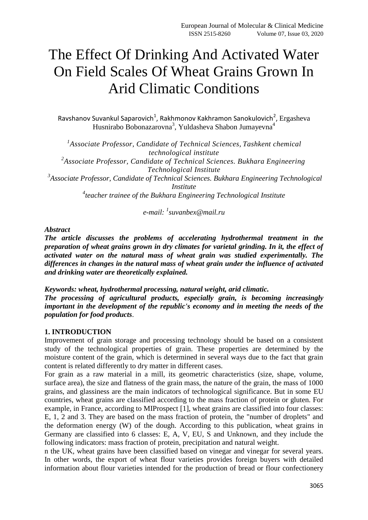# The Effect Of Drinking And Activated Water On Field Scales Of Wheat Grains Grown In Arid Climatic Conditions

Ravshanov Suvankul Saparovich<sup>1</sup>, Rakhmonov Kakhramon Sanokulovich<sup>2</sup>, Ergasheva Husnirabo Bobonazarovna<sup>3</sup>, Yuldasheva Shabon Jumayevna<sup>4</sup>

*1 Associate Professor, Candidate of Technical Sciences, Tashkent chemical technological institute 2 Associate Professor, Candidate of Technical Sciences. Bukhara Engineering Technological Institute 3 Associate Professor, Candidate of Technical Sciences. Bukhara Engineering Technological Institute 4 teacher trainee of the Bukhara Engineering Technological Institute*

*e-mail: <sup>1</sup> [suvanbex@mail.ru](mailto:suvanbex@mail.ru)*

### *Abstract*

*The article discusses the problems of accelerating hydrothermal treatment in the preparation of wheat grains grown in dry climates for varietal grinding. In it, the effect of activated water on the natural mass of wheat grain was studied experimentally. The differences in changes in the natural mass of wheat grain under the influence of activated and drinking water are theoretically explained.*

*Keywords: wheat, hydrothermal processing, natural weight, arid climatic. The processing of agricultural products, especially grain, is becoming increasingly important in the development of the republic's economy and in meeting the needs of the population for food products*.

## **1. INTRODUCTION**

Improvement of grain storage and processing technology should be based on a consistent study of the technological properties of grain. These properties are determined by the moisture content of the grain, which is determined in several ways due to the fact that grain content is related differently to dry matter in different cases.

For grain as a raw material in a mill, its geometric characteristics (size, shape, volume, surface area), the size and flatness of the grain mass, the nature of the grain, the mass of 1000 grains, and glassiness are the main indicators of technological significance. But in some EU countries, wheat grains are classified according to the mass fraction of protein or gluten. For example, in France, according to MIProspect [1], wheat grains are classified into four classes: E, 1, 2 and 3. They are based on the mass fraction of protein, the "number of droplets" and the deformation energy (W) of the dough. According to this publication, wheat grains in Germany are classified into 6 classes: E, A, V, EU, S and Unknown, and they include the following indicators: mass fraction of protein, precipitation and natural weight.

n the UK, wheat grains have been classified based on vinegar and vinegar for several years. In other words, the export of wheat flour varieties provides foreign buyers with detailed information about flour varieties intended for the production of bread or flour confectionery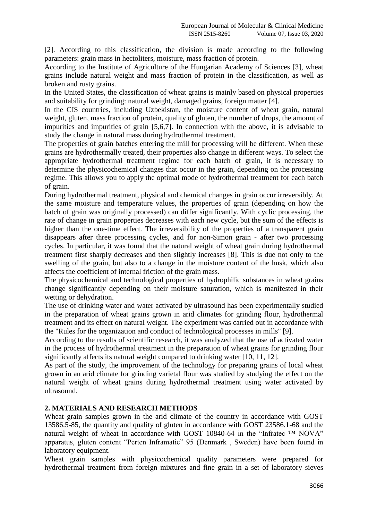[2]. According to this classification, the division is made according to the following parameters: grain mass in hectoliters, moisture, mass fraction of protein.

According to the Institute of Agriculture of the Hungarian Academy of Sciences [3], wheat grains include natural weight and mass fraction of protein in the classification, as well as broken and rusty grains.

In the United States, the classification of wheat grains is mainly based on physical properties and suitability for grinding: natural weight, damaged grains, foreign matter [4].

In the CIS countries, including Uzbekistan, the moisture content of wheat grain, natural weight, gluten, mass fraction of protein, quality of gluten, the number of drops, the amount of impurities and impurities of grain [5,6,7]. In connection with the above, it is advisable to study the change in natural mass during hydrothermal treatment.

The properties of grain batches entering the mill for processing will be different. When these grains are hydrothermally treated, their properties also change in different ways. To select the appropriate hydrothermal treatment regime for each batch of grain, it is necessary to determine the physicochemical changes that occur in the grain, depending on the processing regime. This allows you to apply the optimal mode of hydrothermal treatment for each batch of grain.

During hydrothermal treatment, physical and chemical changes in grain occur irreversibly. At the same moisture and temperature values, the properties of grain (depending on how the batch of grain was originally processed) can differ significantly. With cyclic processing, the rate of change in grain properties decreases with each new cycle, but the sum of the effects is higher than the one-time effect. The irreversibility of the properties of a transparent grain disappears after three processing cycles, and for non-Simon grain - after two processing cycles. In particular, it was found that the natural weight of wheat grain during hydrothermal treatment first sharply decreases and then slightly increases [8]. This is due not only to the swelling of the grain, but also to a change in the moisture content of the husk, which also affects the coefficient of internal friction of the grain mass.

The physicochemical and technological properties of hydrophilic substances in wheat grains change significantly depending on their moisture saturation, which is manifested in their wetting or dehydration.

The use of drinking water and water activated by ultrasound has been experimentally studied in the preparation of wheat grains grown in arid climates for grinding flour, hydrothermal treatment and its effect on natural weight. The experiment was carried out in accordance with the "Rules for the organization and conduct of technological processes in mills" [9].

According to the results of scientific research, it was analyzed that the use of activated water in the process of hydrothermal treatment in the preparation of wheat grains for grinding flour significantly affects its natural weight compared to drinking water [10, 11, 12].

As part of the study, the improvement of the technology for preparing grains of local wheat grown in an arid climate for grinding varietal flour was studied by studying the effect on the natural weight of wheat grains during hydrothermal treatment using water activated by ultrasound.

## **2. MATERIALS AND RESEARCH METHODS**

Wheat grain samples grown in the arid climate of the country in accordance with GOST 13586.5-85, the quantity and quality of gluten in accordance with GOST 23586.1-68 and the natural weight of wheat in accordance with GOST 10840-64 in the "Infratec ™ NOVA" apparatus, gluten content "Perten Inframatic" 95 (Denmark , Sweden) have been found in laboratory equipment.

Wheat grain samples with physicochemical quality parameters were prepared for hydrothermal treatment from foreign mixtures and fine grain in a set of laboratory sieves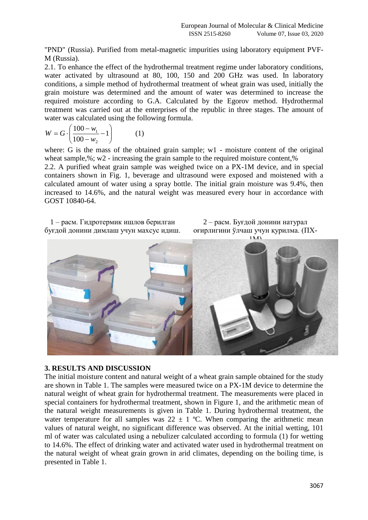"PND" (Russia). Purified from metal-magnetic impurities using laboratory equipment PVF-M (Russia).

2.1. To enhance the effect of the hydrothermal treatment regime under laboratory conditions, water activated by ultrasound at 80, 100, 150 and 200 GHz was used. In laboratory conditions, a simple method of hydrothermal treatment of wheat grain was used, initially the grain moisture was determined and the amount of water was determined to increase the required moisture according to G.A. Calculated by the Egorov method. Hydrothermal treatment was carried out at the enterprises of the republic in three stages. The amount of water was calculated using the following formula.

$$
W = G \cdot \left(\frac{100 - w_1}{100 - w_2} - 1\right) \tag{1}
$$

where: G is the mass of the obtained grain sample; w1 - moisture content of the original wheat sample,%; w2 - increasing the grain sample to the required moisture content,%

2.2. A purified wheat grain sample was weighed twice on a PX-1M device, and in special containers shown in Fig. 1, beverage and ultrasound were exposed and moistened with a calculated amount of water using a spray bottle. The initial grain moisture was 9.4%, then increased to 14.6%, and the natural weight was measured every hour in accordance with GOST 10840-64.

1 – расм. Гидротермик ишлов берилган буғдой донини димлаш учун махсус идиш.

2 – расм. Буғдой донини натурал оғирлигини ўлчаш учун қурилма. (ПХ-



#### **3. RESULTS AND DISCUSSION**

The initial moisture content and natural weight of a wheat grain sample obtained for the study are shown in Table 1. The samples were measured twice on a PX-1M device to determine the natural weight of wheat grain for hydrothermal treatment. The measurements were placed in special containers for hydrothermal treatment, shown in Figure 1, and the arithmetic mean of the natural weight measurements is given in Table 1. During hydrothermal treatment, the water temperature for all samples was  $22 \pm 1$  °C. When comparing the arithmetic mean values of natural weight, no significant difference was observed. At the initial wetting, 101 ml of water was calculated using a nebulizer calculated according to formula (1) for wetting to 14.6%. The effect of drinking water and activated water used in hydrothermal treatment on the natural weight of wheat grain grown in arid climates, depending on the boiling time, is presented in Table 1.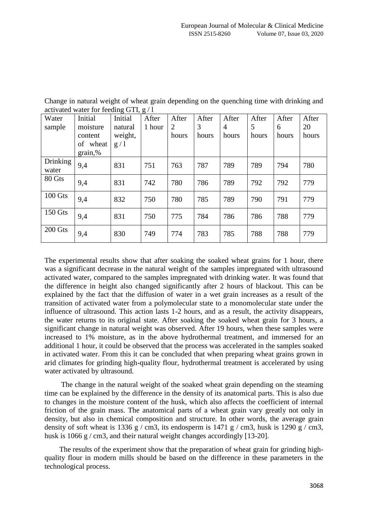| Water          | Initial     | ັ<br>Initial | After  | After          | After | After          | After | After | After |
|----------------|-------------|--------------|--------|----------------|-------|----------------|-------|-------|-------|
| sample         | moisture    | natural      | 1 hour | $\overline{2}$ | 3     | $\overline{4}$ | 5     | 6     | 20    |
|                | content     | weight,      |        | hours          | hours | hours          | hours | hours | hours |
|                | of<br>wheat | g/1          |        |                |       |                |       |       |       |
|                | grain,%     |              |        |                |       |                |       |       |       |
| Drinking       | 9,4         | 831          | 751    | 763            | 787   | 789            | 789   | 794   | 780   |
| water          |             |              |        |                |       |                |       |       |       |
| 80 Gts         | 9,4         | 831          | 742    | 780            | 786   | 789            | 792   | 792   | 779   |
|                |             |              |        |                |       |                |       |       |       |
| 100 Gts        | 9,4         | 832          | 750    | 780            | 785   | 789            | 790   | 791   | 779   |
|                |             |              |        |                |       |                |       |       |       |
| <b>150 Gts</b> | 9,4         | 831          | 750    | 775            | 784   | 786            | 786   | 788   | 779   |
|                |             |              |        |                |       |                |       |       |       |
| 200 Gts        | 9,4         | 830          | 749    | 774            | 783   | 785            | 788   | 788   | 779   |
|                |             |              |        |                |       |                |       |       |       |

Change in natural weight of wheat grain depending on the quenching time with drinking and activated water for feeding GTI, g / l

The experimental results show that after soaking the soaked wheat grains for 1 hour, there was a significant decrease in the natural weight of the samples impregnated with ultrasound activated water, compared to the samples impregnated with drinking water. It was found that the difference in height also changed significantly after 2 hours of blackout. This can be explained by the fact that the diffusion of water in a wet grain increases as a result of the transition of activated water from a polymolecular state to a monomolecular state under the influence of ultrasound. This action lasts 1-2 hours, and as a result, the activity disappears, the water returns to its original state. After soaking the soaked wheat grain for 3 hours, a significant change in natural weight was observed. After 19 hours, when these samples were increased to 1% moisture, as in the above hydrothermal treatment, and immersed for an additional 1 hour, it could be observed that the process was accelerated in the samples soaked in activated water. From this it can be concluded that when preparing wheat grains grown in arid climates for grinding high-quality flour, hydrothermal treatment is accelerated by using water activated by ultrasound.

 The change in the natural weight of the soaked wheat grain depending on the steaming time can be explained by the difference in the density of its anatomical parts. This is also due to changes in the moisture content of the husk, which also affects the coefficient of internal friction of the grain mass. The anatomical parts of a wheat grain vary greatly not only in density, but also in chemical composition and structure. In other words, the average grain density of soft wheat is 1336 g / cm3, its endosperm is 1471 g / cm3, husk is 1290 g / cm3, husk is 1066 g / cm3, and their natural weight changes accordingly [13-20].

 The results of the experiment show that the preparation of wheat grain for grinding highquality flour in modern mills should be based on the difference in these parameters in the technological process.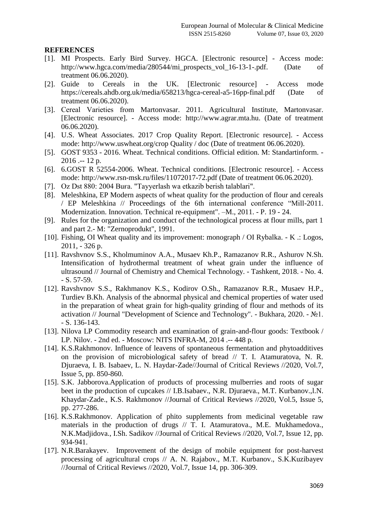#### **REFERENCES**

- [1]. MI Prospects. Early Bird Survey. HGCA. [Electronic resource] Access mode: http://www.hgca.com/media/280544/mi\_prospects\_vol\_16-13-1-.pdf. (Date of treatment 06.06.2020).
- [2]. Guide to Cereals in the UK. [Electronic resource] Access mode https://cereals.ahdb.org.uk/media/658213/hgca-cereal-a5-16pp-final.pdf (Date of treatment 06.06.2020).
- [3]. Сereal Varieties from Martonvasar. 2011. Agricultural Institute, Martonvasar. [Electronic resource]. - Access mode: http://www.agrar.mta.hu. (Date of treatment 06.06.2020).
- [4]. U.S. Wheat Associates. 2017 Crop Quality Report. [Electronic resource]. Access mode: http://www.uswheat.org/crop Quality / doc (Date of treatment 06.06.2020).
- [5]. GOST 9353 2016. Wheat. Technical conditions. Official edition. M: Standartinform. 2016 .-- 12 p.
- [6]. 6.GOST R 52554-2006. Wheat. Technical conditions. [Electronic resource]. Access mode: http://www.rsn-msk.ru/files/11072017-72.pdf (Date of treatment 06.06.2020).
- [7]. Oz Dst 880: 2004 Buғa. "Tayyerlash wa etkazib berish talablari".
- [8]. Meleshkina, EP Modern aspects of wheat quality for the production of flour and cereals / EP Meleshkina // Proceedings of the 6th international conference "Mill-2011. Modernization. Innovation. Technical re-equipment". –M., 2011. - P. 19 - 24.
- [9]. Rules for the organization and conduct of the technological process at flour mills, part 1 and part 2.- M: "Zernoprodukt", 1991.
- [10]. Fishing, OI Wheat quality and its improvement: monograph / OI Rybalka. K .: Logos, 2011, - 326 p.
- [11]. Ravshvnov S.S., Kholmuminov A.A., Musaev Kh.P., Ramazanov R.R., Ashurov N.Sh. Intensification of hydrothermal treatment of wheat grain under the influence of ultrasound // Journal of Chemistry and Chemical Technology. - Tashkent, 2018. - No. 4. - S. 57-59.
- [12]. Ravshvnov S.S., Rakhmanov K.S., Kodirov O.Sh., Ramazanov R.R., Musaev H.P., Turdiev B.Kh. Analysis of the abnormal physical and chemical properties of water used in the preparation of wheat grain for high-quality grinding of flour and methods of its activation // Journal "Development of Science and Technology". - Bukhara, 2020. - №1. - S. 136-143.
- [13]. Nilova LP Commodity research and examination of grain-and-flour goods: Textbook / LP. Nilov. - 2nd ed. - Moscow: NITS INFRA-M, 2014 .-- 448 p.
- [14]. K.S.Rakhmonov. Influence of leavens of spontaneous fermentation and phytoadditives on the provision of microbiological safety of bread // T. I. Atamuratova, N. R. Djuraeva, I. B. Isabaev, L. N. Haydar-Zade//Journal of Critical Reviews //2020, Vol.7, Issue 5, pp. 850-860.
- [15]. S.K. Jabborova.Application of products of processing mulberries and roots of sugar beet in the production of cupcakes // I.B.Isabaev., N.R. Djuraeva., M.T. Kurbanov., l.N. Khaydar-Zade., K.S. Rakhmonov //Journal of Critical Reviews //2020, Vol.5, Issue 5, pp. 277-286.
- [16]. K.S.Rakhmonov. Application of phito supplements from medicinal vegetable raw materials in the production of drugs // T. I. Atamuratova., M.E. Mukhamedova., N.K.Madjidova., I.Sh. Sadikov //Journal of Critical Reviews //2020, Vol.7, Issue 12, pp. 934-941.
- [17]. N.R.Barakayev. Improvement of the design of mobile equipment for post-harvest processing of agricultural crops // A. N. Rajabov., M.T. Kurbanov., S.K.Kuzibayev //Journal of Critical Reviews //2020, Vol.7, Issue 14, pp. 306-309.